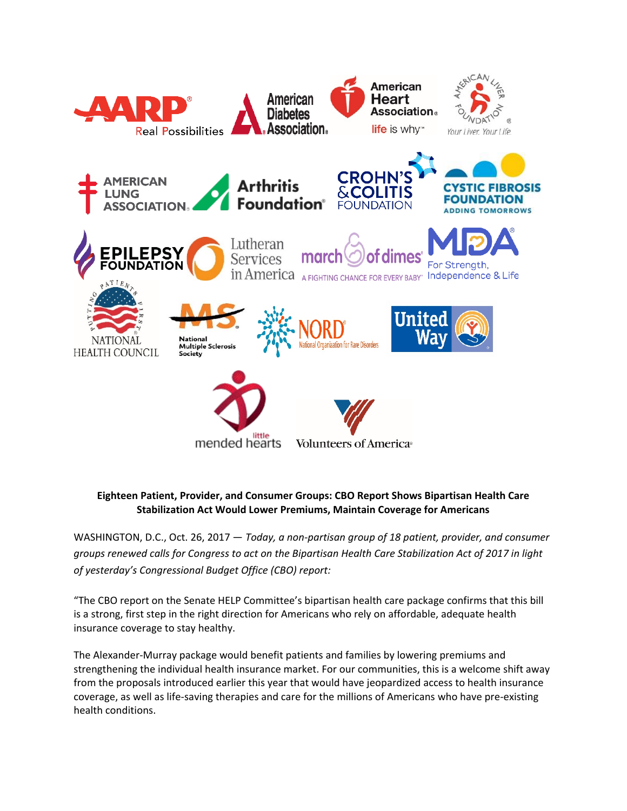

## **Eighteen Patient, Provider, and Consumer Groups: CBO Report Shows Bipartisan Health Care Stabilization Act Would Lower Premiums, Maintain Coverage for Americans**

WASHINGTON, D.C., Oct. 26, 2017 — *Today, a non-partisan group of 18 patient, provider, and consumer groups renewed calls for Congress to act on the Bipartisan Health Care Stabilization Act of 2017 in light of yesterday's Congressional Budget Office (CBO) report:* 

"The CBO report on the Senate HELP Committee's bipartisan health care package confirms that this bill is a strong, first step in the right direction for Americans who rely on affordable, adequate health insurance coverage to stay healthy.

The Alexander-Murray package would benefit patients and families by lowering premiums and strengthening the individual health insurance market. For our communities, this is a welcome shift away from the proposals introduced earlier this year that would have jeopardized access to health insurance coverage, as well as life-saving therapies and care for the millions of Americans who have pre-existing health conditions.